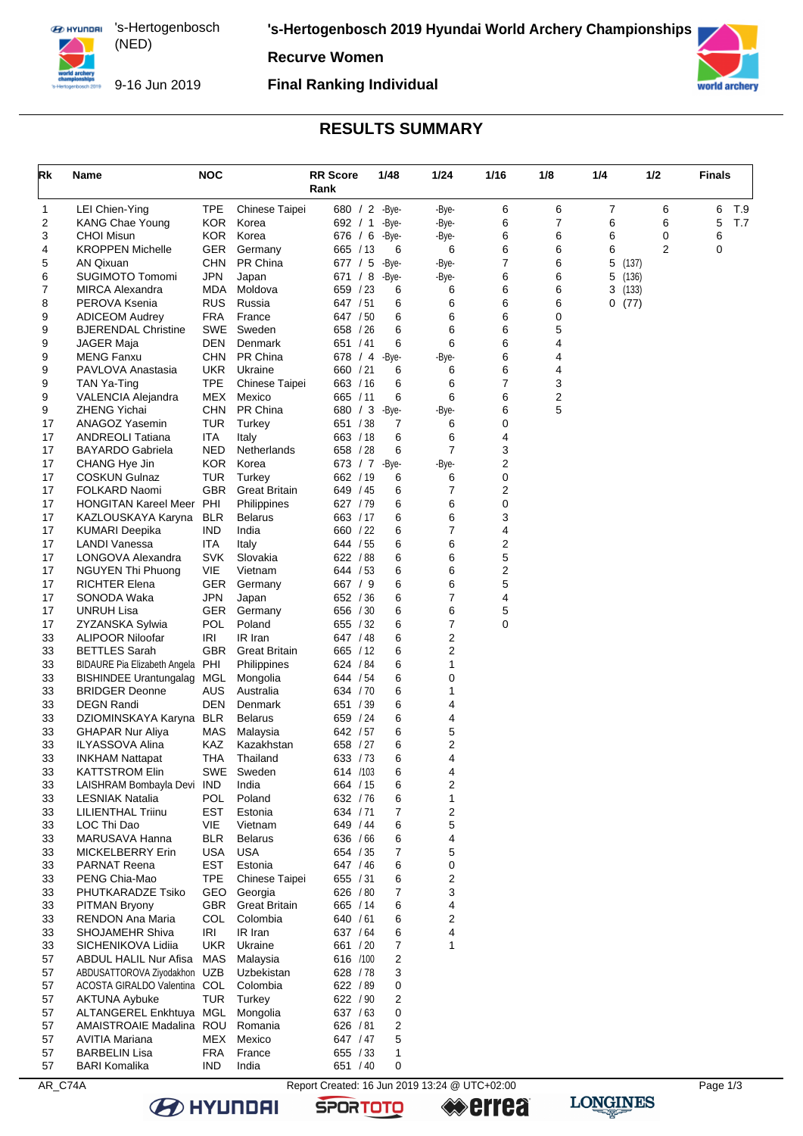**EX HYUNDAI** 's-Hertogenbosch (NED) 

**'s-Hertogenbosch 2019 Hyundai World Archery Championships**

**Recurve Women**



9-16 Jun 2019

#### **Final Ranking Individual**



# **RESULTS SUMMARY**

| Rk       | Name                                                          | <b>NOC</b>               |                                | <b>RR</b> Score<br>Rank | 1/48                | 1/24                         | 1/16                                          | 1/8            | 1/4        | 1/2    | <b>Finals</b> |     |
|----------|---------------------------------------------------------------|--------------------------|--------------------------------|-------------------------|---------------------|------------------------------|-----------------------------------------------|----------------|------------|--------|---------------|-----|
| 1        | LEI Chien-Ying                                                | <b>TPE</b>               | Chinese Taipei                 |                         | 680 / 2 -Bye-       | -Bye-                        | 6                                             | 6              | 7          | 6      | 6             | T.9 |
| 2        | <b>KANG Chae Young</b>                                        | <b>KOR</b>               | Korea                          | 692 / 1                 | -Bye-               | -Bye-                        | 6                                             | $\overline{7}$ | 6          | 6      | 5             | T.7 |
| 3<br>4   | <b>CHOI Misun</b><br><b>KROPPEN Michelle</b>                  | <b>KOR</b><br><b>GER</b> | Korea<br>Germany               | 676 / 6<br>665 / 13     | -Bye-<br>6          | -Bye-<br>6                   | 6<br>6                                        | 6<br>6         | 6<br>6     | 0<br>2 | 6<br>0        |     |
| 5        | AN Qixuan                                                     | <b>CHN</b>               | PR China                       | 677 / 5                 | -Bye-               | -Bye-                        | 7                                             | 6              | 5<br>(137) |        |               |     |
| 6        | <b>SUGIMOTO Tomomi</b>                                        | <b>JPN</b>               | Japan                          | 671 / 8                 | -Bye-               | -Bye-                        | 6                                             | 6              | 5<br>(136) |        |               |     |
| 7        | <b>MIRCA Alexandra</b>                                        | MDA                      | Moldova                        | 659 / 23                | 6                   | 6                            | 6                                             | 6              | 3<br>(133) |        |               |     |
| 8<br>9   | PEROVA Ksenia<br><b>ADICEOM Audrey</b>                        | <b>RUS</b><br>FRA        | Russia<br>France               | 647 / 51<br>647 / 50    | 6<br>6              | 6<br>6                       | 6<br>6                                        | 6<br>0         | 0(77)      |        |               |     |
| 9        | <b>BJERENDAL Christine</b>                                    | SWE                      | Sweden                         | 658 / 26                | 6                   | 6                            | 6                                             | 5              |            |        |               |     |
| 9        | JAGER Maja                                                    | DEN                      | Denmark                        | 651 / 41                | 6                   | 6                            | 6                                             | 4              |            |        |               |     |
| 9        | <b>MENG Fanxu</b>                                             | <b>CHN</b>               | PR China                       | 678 / 4                 | -Bye-               | -Bye-                        | 6                                             | 4              |            |        |               |     |
| 9        | PAVLOVA Anastasia                                             | <b>UKR</b>               | Ukraine                        | 660 / 21                | 6                   | 6                            | 6                                             | 4              |            |        |               |     |
| 9<br>9   | TAN Ya-Ting<br>VALENCIA Alejandra                             | TPE<br>MEX               | Chinese Taipei<br>Mexico       | 663 / 16<br>665 / 11    | 6<br>6              | 6<br>6                       | 7<br>6                                        | 3<br>2         |            |        |               |     |
| 9        | <b>ZHENG Yichai</b>                                           | <b>CHN</b>               | PR China                       | 680 / 3                 | -Bye-               | -Bye-                        | 6                                             | 5              |            |        |               |     |
| 17       | ANAGOZ Yasemin                                                | TUR                      | Turkey                         | 651 / 38                | 7                   | 6                            | 0                                             |                |            |        |               |     |
| 17       | <b>ANDREOLI Tatiana</b>                                       | ITA                      | Italy                          | 663 / 18                | 6                   | 6                            | 4                                             |                |            |        |               |     |
| 17       | <b>BAYARDO Gabriela</b>                                       | NED                      | Netherlands                    | 658 / 28                | 6                   | $\overline{7}$               | 3                                             |                |            |        |               |     |
| 17<br>17 | CHANG Hye Jin                                                 | KOR.                     | Korea                          |                         | 673 / 7 -Bye-       | -Bye-                        | $\overline{c}$                                |                |            |        |               |     |
| 17       | <b>COSKUN Gulnaz</b><br>FOLKARD Naomi                         | <b>TUR</b><br><b>GBR</b> | Turkey<br><b>Great Britain</b> | 662 / 19<br>649 / 45    | 6<br>6              | 6<br>7                       | $\pmb{0}$<br>$\overline{c}$                   |                |            |        |               |     |
| 17       | <b>HONGITAN Kareel Meer</b>                                   | PHI                      | Philippines                    | 627 / 79                | 6                   | 6                            | $\mathbf 0$                                   |                |            |        |               |     |
| 17       | KAZLOUSKAYA Karyna                                            | <b>BLR</b>               | <b>Belarus</b>                 | 663 / 17                | 6                   | 6                            | 3                                             |                |            |        |               |     |
| 17       | <b>KUMARI Deepika</b>                                         | <b>IND</b>               | India                          | 660 / 22                | 6                   | $\overline{7}$               | 4                                             |                |            |        |               |     |
| 17       | LANDI Vanessa                                                 | ITA                      | Italy                          | 644 / 55                | 6                   | 6                            | 2                                             |                |            |        |               |     |
| 17       | LONGOVA Alexandra                                             | <b>SVK</b>               | Slovakia                       | 622 / 88                | 6                   | 6                            | 5                                             |                |            |        |               |     |
| 17<br>17 | NGUYEN Thi Phuong<br><b>RICHTER Elena</b>                     | VIE<br>GER               | Vietnam<br>Germany             | 644 / 53<br>667 / 9     | 6<br>6              | 6<br>6                       | 2<br>5                                        |                |            |        |               |     |
| 17       | SONODA Waka                                                   | <b>JPN</b>               | Japan                          | 652 / 36                | 6                   | 7                            | 4                                             |                |            |        |               |     |
| 17       | UNRUH Lisa                                                    | GER                      | Germany                        | 656 / 30                | 6                   | 6                            | 5                                             |                |            |        |               |     |
| 17       | ZYZANSKA Sylwia                                               | <b>POL</b>               | Poland                         | 655 / 32                | 6                   | 7                            | $\mathbf 0$                                   |                |            |        |               |     |
| 33       | ALIPOOR Niloofar                                              | IRI                      | IR Iran                        | 647 / 48                | 6                   | $\overline{\mathbf{c}}$      |                                               |                |            |        |               |     |
| 33<br>33 | <b>BETTLES Sarah</b>                                          | GBR.<br>PHI              | <b>Great Britain</b>           | 665 / 12                | 6<br>6              | 2<br>1                       |                                               |                |            |        |               |     |
| 33       | BIDAURE Pia Elizabeth Angela<br><b>BISHINDEE Urantungalag</b> | MGL                      | Philippines<br>Mongolia        | 624 / 84<br>644 / 54    | 6                   | 0                            |                                               |                |            |        |               |     |
| 33       | <b>BRIDGER Deonne</b>                                         | AUS                      | Australia                      | 634 / 70                | 6                   | 1                            |                                               |                |            |        |               |     |
| 33       | <b>DEGN Randi</b>                                             | <b>DEN</b>               | Denmark                        | 651 / 39                | 6                   | 4                            |                                               |                |            |        |               |     |
| 33       | DZIOMINSKAYA Karyna                                           | <b>BLR</b>               | <b>Belarus</b>                 | 659 / 24                | 6                   | 4                            |                                               |                |            |        |               |     |
| 33       | <b>GHAPAR Nur Aliya</b>                                       | MAS                      | Malaysia                       | 642 / 57                | 6                   | 5                            |                                               |                |            |        |               |     |
| 33<br>33 | <b>ILYASSOVA Alina</b><br><b>INKHAM Nattapat</b>              | KAZ<br>THA               | Kazakhstan<br>Thailand         | 658 / 27<br>633 / 73    | 6<br>6              | $\overline{\mathbf{c}}$<br>4 |                                               |                |            |        |               |     |
| 33       | <b>KATTSTROM Elin</b>                                         | SWE                      | Sweden                         | 614 /103                | 6                   | 4                            |                                               |                |            |        |               |     |
| 33       | LAISHRAM Bombayla Devi                                        | IND                      | India                          | 664 / 15                | 6                   | $\boldsymbol{2}$             |                                               |                |            |        |               |     |
| 33       | <b>LESNIAK Natalia</b>                                        | POL                      | Poland                         | 632 / 76                | 6                   | 1                            |                                               |                |            |        |               |     |
| 33       | LILIENTHAL Triinu                                             | EST                      | Estonia                        | 634 / 71                | 7                   | $\mathbf 2$                  |                                               |                |            |        |               |     |
| 33<br>33 | LOC Thi Dao<br><b>MARUSAVA Hanna</b>                          | VIE<br><b>BLR</b>        | Vietnam<br><b>Belarus</b>      | 649 / 44<br>636 / 66    | 6                   | 5<br>4                       |                                               |                |            |        |               |     |
| 33       | <b>MICKELBERRY Erin</b>                                       | USA                      | <b>USA</b>                     | 654 / 35                | 6<br>7              | 5                            |                                               |                |            |        |               |     |
| 33       | <b>PARNAT Reena</b>                                           | <b>EST</b>               | Estonia                        | 647 / 46                | 6                   | 0                            |                                               |                |            |        |               |     |
| 33       | PENG Chia-Mao                                                 | <b>TPE</b>               | Chinese Taipei                 | 655 / 31                | 6                   | 2                            |                                               |                |            |        |               |     |
| 33       | PHUTKARADZE Tsiko                                             | GEO                      | Georgia                        | 626 / 80                | 7                   | 3                            |                                               |                |            |        |               |     |
| 33       | PITMAN Bryony                                                 | GBR                      | <b>Great Britain</b>           | 665 / 14                | 6                   | 4                            |                                               |                |            |        |               |     |
| 33<br>33 | <b>RENDON Ana Maria</b><br>SHOJAMEHR Shiva                    | COL<br><b>IRI</b>        | Colombia<br>IR Iran            | 640 / 61<br>637 / 64    | 6<br>6              | 2<br>4                       |                                               |                |            |        |               |     |
| 33       | SICHENIKOVA Lidiia                                            | UKR                      | Ukraine                        | 661 / 20                | 7                   | 1                            |                                               |                |            |        |               |     |
| 57       | ABDUL HALIL Nur Afisa                                         | MAS                      | Malaysia                       | 616 /100                | 2                   |                              |                                               |                |            |        |               |     |
| 57       | ABDUSATTOROVA Ziyodakhon                                      | UZB                      | Uzbekistan                     | 628 / 78                | 3                   |                              |                                               |                |            |        |               |     |
| 57       | ACOSTA GIRALDO Valentina                                      | COL                      | Colombia                       | 622 / 89                | 0                   |                              |                                               |                |            |        |               |     |
| 57       | <b>AKTUNA Aybuke</b>                                          | TUR                      | Turkey                         | 622 / 90                | 2                   |                              |                                               |                |            |        |               |     |
| 57<br>57 | ALTANGEREL Enkhtuya MGL<br>AMAISTROAIE Madalina ROU           |                          | Mongolia<br>Romania            | 637 / 63<br>626 / 81    | 0<br>$\overline{2}$ |                              |                                               |                |            |        |               |     |
| 57       | <b>AVITIA Mariana</b>                                         | MEX                      | Mexico                         | 647 / 47                | 5                   |                              |                                               |                |            |        |               |     |
| 57       | <b>BARBELIN Lisa</b>                                          | <b>FRA</b>               | France                         | 655 / 33                | 1                   |                              |                                               |                |            |        |               |     |
| 57       | <b>BARI Komalika</b>                                          | IND                      | India                          | 651 / 40                | 0                   |                              |                                               |                |            |        |               |     |
| AR_C74A  |                                                               |                          |                                |                         |                     |                              | Report Created: 16 Jun 2019 13:24 @ UTC+02:00 |                |            |        | Page 1/3      |     |



**BE HYUNDAI** 

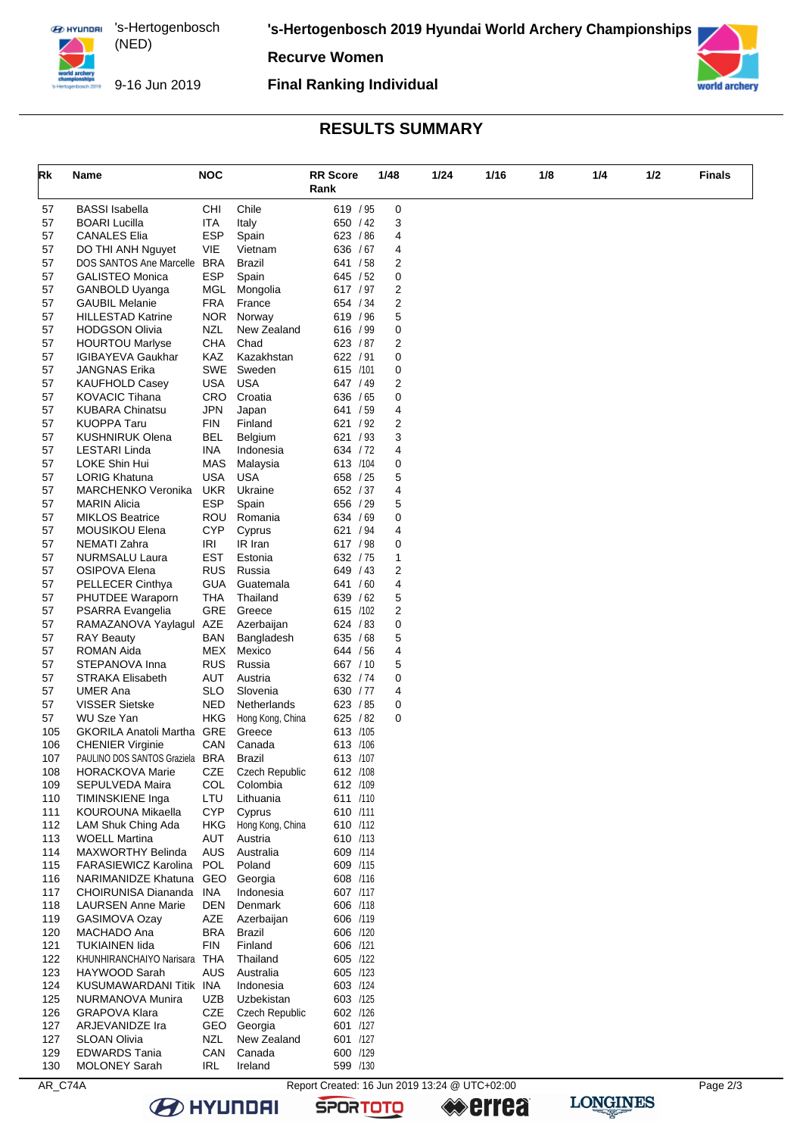**EX HYUNDAI** 's-Hertogenbosch (NED) 

**'s-Hertogenbosch 2019 Hyundai World Archery Championships**

**Recurve Women**



9-16 Jun 2019

### **Final Ranking Individual**



## **RESULTS SUMMARY**

| Rk         | Name                                                | <b>NOC</b>               |                                        | <b>RR Score</b>      | 1/48   | 1/24 | 1/16 | 1/8 | 1/4 | 1/2 | <b>Finals</b> |
|------------|-----------------------------------------------------|--------------------------|----------------------------------------|----------------------|--------|------|------|-----|-----|-----|---------------|
|            |                                                     |                          |                                        | Rank                 |        |      |      |     |     |     |               |
| 57         | <b>BASSI</b> Isabella                               | CHI                      | Chile                                  | 619 / 95             | 0      |      |      |     |     |     |               |
| 57         | <b>BOARI Lucilla</b><br><b>CANALES Elia</b>         | <b>ITA</b><br><b>ESP</b> | Italy                                  | 650 / 42<br>623 / 86 | 3<br>4 |      |      |     |     |     |               |
| 57<br>57   | DO THI ANH Nguyet                                   | VIE                      | Spain<br>Vietnam                       | 636 / 67             | 4      |      |      |     |     |     |               |
| 57         | DOS SANTOS Ane Marcelle                             | <b>BRA</b>               | <b>Brazil</b>                          | 641 / 58             | 2      |      |      |     |     |     |               |
| 57         | <b>GALISTEO Monica</b>                              | <b>ESP</b>               | Spain                                  | 645 / 52             | 0      |      |      |     |     |     |               |
| 57         | GANBOLD Uyanga                                      | MGL                      | Mongolia                               | 617 / 97             | 2      |      |      |     |     |     |               |
| 57         | <b>GAUBIL Melanie</b>                               | <b>FRA</b>               | France                                 | 654 / 34             | 2      |      |      |     |     |     |               |
| 57         | <b>HILLESTAD Katrine</b>                            | NOR.                     | Norway                                 | 619 / 96             | 5      |      |      |     |     |     |               |
| 57<br>57   | <b>HODGSON Olivia</b><br><b>HOURTOU Marlyse</b>     | <b>NZL</b><br><b>CHA</b> | New Zealand<br>Chad                    | 616 / 99<br>623 / 87 | 0<br>2 |      |      |     |     |     |               |
| 57         | <b>IGIBAYEVA Gaukhar</b>                            | KAZ                      | Kazakhstan                             | 622 / 91             | 0      |      |      |     |     |     |               |
| 57         | <b>JANGNAS Erika</b>                                | SWE                      | Sweden                                 | 615 /101             | 0      |      |      |     |     |     |               |
| 57         | <b>KAUFHOLD Casey</b>                               | USA                      | <b>USA</b>                             | 647 / 49             | 2      |      |      |     |     |     |               |
| 57         | <b>KOVACIC Tihana</b>                               | <b>CRO</b>               | Croatia                                | 636 / 65             | 0      |      |      |     |     |     |               |
| 57         | <b>KUBARA Chinatsu</b>                              | <b>JPN</b>               | Japan                                  | 641 / 59             | 4      |      |      |     |     |     |               |
| 57         | <b>KUOPPA Taru</b>                                  | <b>FIN</b>               | Finland                                | 621 / 92             | 2      |      |      |     |     |     |               |
| 57<br>57   | <b>KUSHNIRUK Olena</b><br>LESTARI Linda             | <b>BEL</b><br><b>INA</b> | Belgium<br>Indonesia                   | 621 / 93<br>634 / 72 | 3<br>4 |      |      |     |     |     |               |
| 57         | LOKE Shin Hui                                       | MAS                      | Malaysia                               | 613 /104             | 0      |      |      |     |     |     |               |
| 57         | <b>LORIG Khatuna</b>                                | <b>USA</b>               | <b>USA</b>                             | 658 / 25             | 5      |      |      |     |     |     |               |
| 57         | <b>MARCHENKO Veronika</b>                           | UKR                      | Ukraine                                | 652 / 37             | 4      |      |      |     |     |     |               |
| 57         | <b>MARIN Alicia</b>                                 | <b>ESP</b>               | Spain                                  | 656 / 29             | 5      |      |      |     |     |     |               |
| 57         | <b>MIKLOS Beatrice</b>                              | ROU                      | Romania                                | 634 / 69             | 0      |      |      |     |     |     |               |
| 57         | MOUSIKOU Elena                                      | <b>CYP</b>               | Cyprus                                 | 621 / 94             | 4      |      |      |     |     |     |               |
| 57<br>57   | <b>NEMATI Zahra</b><br>NURMSALU Laura               | IRI<br><b>EST</b>        | IR Iran<br>Estonia                     | 617 / 98<br>632 / 75 | 0<br>1 |      |      |     |     |     |               |
| 57         | <b>OSIPOVA Elena</b>                                | <b>RUS</b>               | Russia                                 | 649 / 43             | 2      |      |      |     |     |     |               |
| 57         | PELLECER Cinthya                                    | <b>GUA</b>               | Guatemala                              | 641 / 60             | 4      |      |      |     |     |     |               |
| 57         | PHUTDEE Waraporn                                    | <b>THA</b>               | Thailand                               | 639 / 62             | 5      |      |      |     |     |     |               |
| 57         | PSARRA Evangelia                                    | GRE                      | Greece                                 | 615 /102             | 2      |      |      |     |     |     |               |
| 57         | RAMAZANOVA Yaylagul                                 | AZE                      | Azerbaijan                             | 624 / 83             | 0      |      |      |     |     |     |               |
| 57         | <b>RAY Beauty</b>                                   | BAN                      | Bangladesh                             | 635 / 68             | 5      |      |      |     |     |     |               |
| 57<br>57   | ROMAN Aida<br>STEPANOVA Inna                        | MEX<br><b>RUS</b>        | Mexico<br>Russia                       | 644 / 56<br>667 / 10 | 4<br>5 |      |      |     |     |     |               |
| 57         | <b>STRAKA Elisabeth</b>                             | AUT                      | Austria                                | 632 / 74             | 0      |      |      |     |     |     |               |
| 57         | <b>UMER Ana</b>                                     | <b>SLO</b>               | Slovenia                               | 630 / 77             | 4      |      |      |     |     |     |               |
| 57         | <b>VISSER Sietske</b>                               | NED                      | Netherlands                            | 623 / 85             | 0      |      |      |     |     |     |               |
| 57         | <b>WU Sze Yan</b>                                   | <b>HKG</b>               | Hong Kong, China                       | 625 / 82             | 0      |      |      |     |     |     |               |
| 105        | <b>GKORILA Anatoli Martha GRE</b>                   |                          | Greece                                 | 613 /105             |        |      |      |     |     |     |               |
| 106        | <b>CHENIER Virginie</b>                             | CAN                      | Canada                                 | 613 /106             |        |      |      |     |     |     |               |
| 107<br>108 | PAULINO DOS SANTOS Graziela BRA<br>HORACKOVA Marie  | CZE                      | <b>Brazil</b><br><b>Czech Republic</b> | 613 /107<br>612 /108 |        |      |      |     |     |     |               |
| 109        | SEPULVEDA Maira                                     | COL                      | Colombia                               | 612 /109             |        |      |      |     |     |     |               |
| 110        | TIMINSKIENE Inga                                    | LTU                      | Lithuania                              | 611 /110             |        |      |      |     |     |     |               |
| 111        | KOUROUNA Mikaella                                   | <b>CYP</b>               | Cyprus                                 | 610 /111             |        |      |      |     |     |     |               |
| 112        | LAM Shuk Ching Ada                                  | HKG                      | Hong Kong, China                       | 610 /112             |        |      |      |     |     |     |               |
| 113        | <b>WOELL Martina</b>                                | AUT                      | Austria                                | 610 /113             |        |      |      |     |     |     |               |
| 114        | <b>MAXWORTHY Belinda</b>                            | <b>AUS</b>               | Australia                              | 609 /114             |        |      |      |     |     |     |               |
| 115<br>116 | FARASIEWICZ Karolina POL<br>NARIMANIDZE Khatuna GEO |                          | Poland<br>Georgia                      | 609 /115<br>608 /116 |        |      |      |     |     |     |               |
| 117        | CHOIRUNISA Diananda                                 | <b>INA</b>               | Indonesia                              | 607 /117             |        |      |      |     |     |     |               |
| 118        | <b>LAURSEN Anne Marie</b>                           | DEN                      | Denmark                                | 606 /118             |        |      |      |     |     |     |               |
| 119        | GASIMOVA Ozay                                       | AZE                      | Azerbaijan                             | 606 /119             |        |      |      |     |     |     |               |
| 120        | MACHADO Ana                                         | <b>BRA</b>               | Brazil                                 | 606 /120             |        |      |      |     |     |     |               |
| 121        | <b>TUKIAINEN lida</b>                               | <b>FIN</b>               | Finland                                | 606 /121             |        |      |      |     |     |     |               |
| 122        | KHUNHIRANCHAIYO Narisara                            | THA                      | Thailand                               | 605 /122             |        |      |      |     |     |     |               |
| 123<br>124 | HAYWOOD Sarah<br>KUSUMAWARDANI Titik INA            | <b>AUS</b>               | Australia<br>Indonesia                 | 605 /123<br>603 /124 |        |      |      |     |     |     |               |
| 125        | NURMANOVA Munira                                    | <b>UZB</b>               | Uzbekistan                             | 603 /125             |        |      |      |     |     |     |               |
| 126        | <b>GRAPOVA Klara</b>                                | CZE                      | <b>Czech Republic</b>                  | 602 /126             |        |      |      |     |     |     |               |
| 127        | ARJEVANIDZE Ira                                     | GEO.                     | Georgia                                | 601 /127             |        |      |      |     |     |     |               |
| 127        | <b>SLOAN Olivia</b>                                 | NZL                      | New Zealand                            | 601 /127             |        |      |      |     |     |     |               |
| 129        | <b>EDWARDS Tania</b>                                | CAN                      | Canada                                 | 600 /129             |        |      |      |     |     |     |               |
| 130        | <b>MOLONEY Sarah</b>                                | <b>IRL</b>               | Ireland                                | 599 /130             |        |      |      |     |     |     |               |

**B** HYUNDAI

AR\_C74A Report Created: 16 Jun 2019 13:24 @ UTC+02:00

**SPORTOTO**